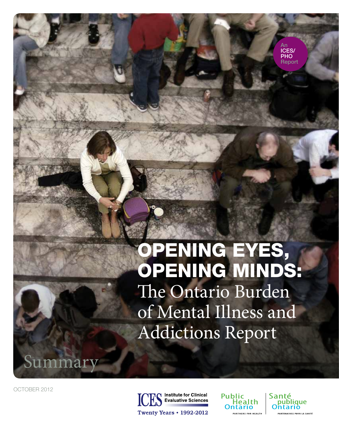# OPENING EYES, OPENING MINDS: The Ontario Burden of Mental Illness and Addictions Report

OCTOBER 2012

Summary



**Public** Health ıtario .<br>Artners for Health



An ICES/ PHO Report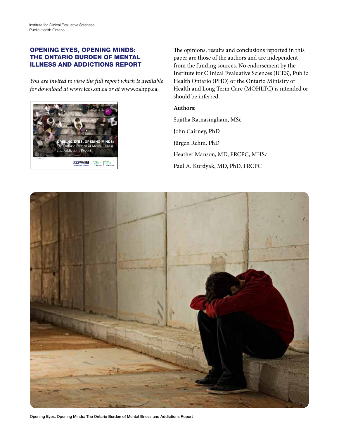#### OPENING EYES, OPENING MINDS: THE ONTARIO BURDEN OF MENTAL ILLNESS AND ADDICTIONS REPORT

*You are invited to view the full report which is available for download at* [www.ices.on.ca](http://www.ices.on.ca) *or at* [www.oahpp.ca](http://www.oahpp.ca).



The opinions, results and conclusions reported in this paper are those of the authors and are independent from the funding sources. No endorsement by the Institute for Clinical Evaluative Sciences (ICES), Public Health Ontario (PHO) or the Ontario Ministry of Health and Long-Term Care (MOHLTC) is intended or should be inferred.

#### **Authors:**

Sujitha Ratnasingham, MSc John Cairney, PhD Jürgen Rehm, PhD Heather Manson, MD, FRCPC, MHSc Paul A. Kurdyak, MD, PhD, FRCPC



Opening Eyes, Opening Minds: The Ontario Burden of Mental Illness and Addictions Report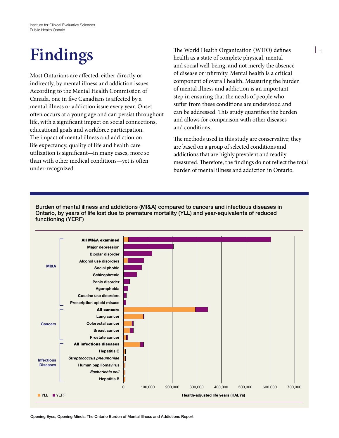## **Findings**

Most Ontarians are affected, either directly or indirectly, by mental illness and addiction issues. According to the Mental Health Commission of Canada, one in five Canadians is affected by a mental illness or addiction issue every year. Onset often occurs at a young age and can persist throughout life, with a significant impact on social connections, educational goals and workforce participation. The impact of mental illness and addiction on life expectancy, quality of life and health care utilization is significant—in many cases, more so than with other medical conditions—yet is often under-recognized.

The World Health Organization (WHO) defines health as a state of complete physical, mental and social well-being, and not merely the absence of disease or infirmity. Mental health is a critical component of overall health. Measuring the burden of mental illness and addiction is an important step in ensuring that the needs of people who suffer from these conditions are understood and can be addressed. This study quantifies the burden and allows for comparison with other diseases and conditions.

The methods used in this study are conservative; they are based on a group of selected conditions and addictions that are highly prevalent and readily measured. Therefore, the findings do not reflect the total burden of mental illness and addiction in Ontario.

Burden of mental illness and addictions (MI&A) compared to cancers and infectious diseases in Ontario, by years of life lost due to premature mortality (YLL) and year-equivalents of reduced functioning (YERF)

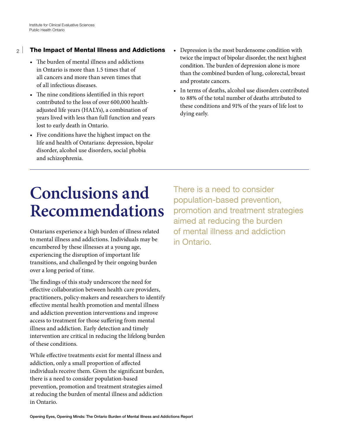#### The Impact of Mental Illness and Addictions  $\mathcal{P}$

- The burden of mental illness and addictions in Ontario is more than 1.5 times that of all cancers and more than seven times that of all infectious diseases.
- The nine conditions identified in this report contributed to the loss of over 600,000 healthadjusted life years (HALYs), a combination of years lived with less than full function and years lost to early death in Ontario.
- • Five conditions have the highest impact on the life and health of Ontarians: depression, bipolar disorder, alcohol use disorders, social phobia and schizophrenia.
- • Depression is the most burdensome condition with twice the impact of bipolar disorder, the next highest condition. The burden of depression alone is more than the combined burden of lung, colorectal, breast and prostate cancers.
- In terms of deaths, alcohol use disorders contributed to 88% of the total number of deaths attributed to these conditions and 91% of the years of life lost to dying early.

## **Conclusions and Recommendations**

Ontarians experience a high burden of illness related to mental illness and addictions. Individuals may be encumbered by these illnesses at a young age, experiencing the disruption of important life transitions, and challenged by their ongoing burden over a long period of time.

The findings of this study underscore the need for effective collaboration between health care providers, practitioners, policy-makers and researchers to identify effective mental health promotion and mental illness and addiction prevention interventions and improve access to treatment for those suffering from mental illness and addiction. Early detection and timely intervention are critical in reducing the lifelong burden of these conditions.

While effective treatments exist for mental illness and addiction, only a small proportion of affected individuals receive them. Given the significant burden, there is a need to consider population-based prevention, promotion and treatment strategies aimed at reducing the burden of mental illness and addiction in Ontario.

There is a need to consider population-based prevention, promotion and treatment strategies aimed at reducing the burden of mental illness and addiction in Ontario.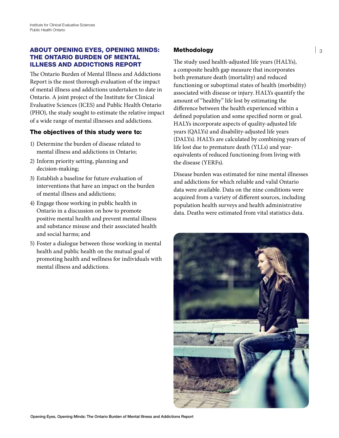#### ABOUT OPENING EYES, OPENING MINDS: THE ONTARIO BURDEN OF MENTAL ILLNESS AND ADDICTIONS REPORT

The Ontario Burden of Mental Illness and Addictions Report is the most thorough evaluation of the impact of mental illness and addictions undertaken to date in Ontario. A joint project of the Institute for Clinical Evaluative Sciences (ICES) and Public Health Ontario (PHO), the study sought to estimate the relative impact of a wide range of mental illnesses and addictions.

### The objectives of this study were to:

- 1) Determine the burden of disease related to mental illness and addictions in Ontario;
- 2) Inform priority setting, planning and decision-making;
- 3) Establish a baseline for future evaluation of interventions that have an impact on the burden of mental illness and addictions;
- 4) Engage those working in public health in Ontario in a discussion on how to promote positive mental health and prevent mental illness and substance misuse and their associated health and social harms; and
- 5) Foster a dialogue between those working in mental health and public health on the mutual goal of promoting health and wellness for individuals with mental illness and addictions.

### Methodology

The study used health-adjusted life years (HALYs), a composite health gap measure that incorporates both premature death (mortality) and reduced functioning or suboptimal states of health (morbidity) associated with disease or injury. HALYs quantify the amount of "healthy" life lost by estimating the difference between the health experienced within a defined population and some specified norm or goal. HALYs incorporate aspects of quality-adjusted life years (QALYs) and disability-adjusted life years (DALYs). HALYs are calculated by combining years of life lost due to premature death (YLLs) and yearequivalents of reduced functioning from living with the disease (YERFs).

Disease burden was estimated for nine mental illnesses and addictions for which reliable and valid Ontario data were available. Data on the nine conditions were acquired from a variety of different sources, including population health surveys and health administrative data. Deaths were estimated from vital statistics data.